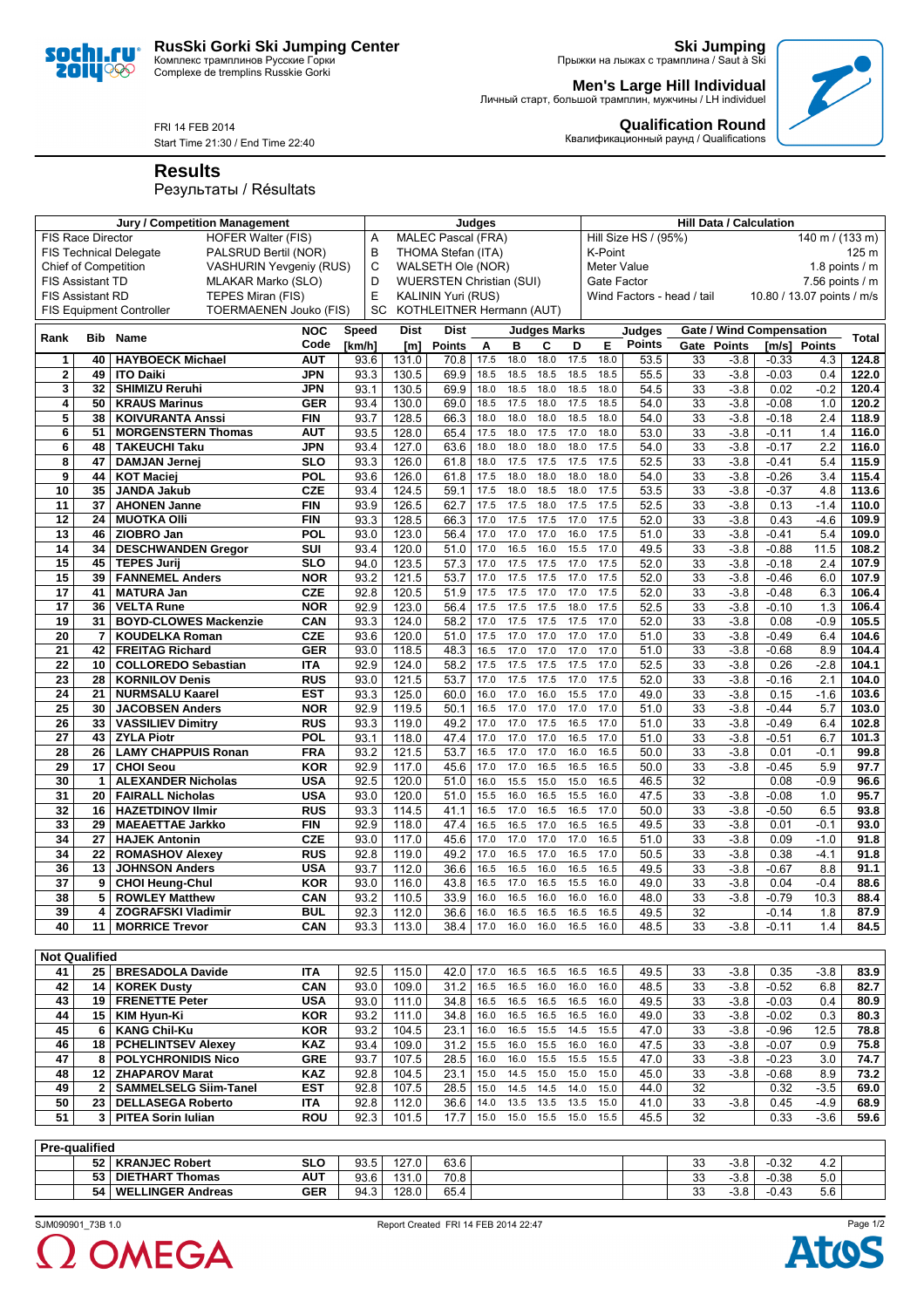## **RusSki Gorki Ski Jumping Center**

Комплекс трамплинов Русские Горки Complexe de tremplins Russkie Gorki

**Ski Jumping** Прыжки на лыжах с трамплина / Saut à Ski

**Qualification Round** Квалификационный раунд / Qualifications

**Men's Large Hill Individual** Личный старт, большой трамплин, мужчины / LH individuel

FRI 14 FEB 2014

Start Time 21:30 / End Time 22:40

**Results**

soc **2014** 

IQ€

## Результаты / Résultats

|                             |                | Jury / Competition Management                                    |            | Judges                    |                                 |                           |      |      |                     | <b>Hill Data / Calculation</b> |                      |                            |                 |               |                                 |                  |                   |
|-----------------------------|----------------|------------------------------------------------------------------|------------|---------------------------|---------------------------------|---------------------------|------|------|---------------------|--------------------------------|----------------------|----------------------------|-----------------|---------------|---------------------------------|------------------|-------------------|
| <b>FIS Race Director</b>    |                | <b>HOFER Walter (FIS)</b>                                        | A          | <b>MALEC Pascal (FRA)</b> |                                 |                           |      |      |                     |                                | Hill Size HS / (95%) |                            |                 |               | 140 m / (133 m)                 |                  |                   |
|                             |                | PALSRUD Bertil (NOR)<br><b>FIS Technical Delegate</b>            | B          | THOMA Stefan (ITA)        |                                 |                           |      |      |                     | K-Point<br>125 m               |                      |                            |                 |               |                                 |                  |                   |
| <b>Chief of Competition</b> |                | VASHURIN Yevgeniy (RUS)                                          | C          | WALSETH Ole (NOR)         |                                 |                           |      |      |                     | Meter Value<br>1.8 points $/m$ |                      |                            |                 |               |                                 |                  |                   |
| <b>FIS Assistant TD</b>     |                | MLAKAR Marko (SLO)                                               |            | D                         | <b>WUERSTEN Christian (SUI)</b> |                           |      |      |                     |                                | Gate Factor          |                            |                 |               |                                 |                  | $7.56$ points / m |
| <b>FIS Assistant RD</b>     |                | TEPES Miran (FIS)                                                |            | E                         |                                 | <b>KALININ Yuri (RUS)</b> |      |      |                     |                                |                      | Wind Factors - head / tail |                 |               | 10.80 / 13.07 points / m/s      |                  |                   |
|                             |                | <b>TOERMAENEN Jouko (FIS)</b><br><b>FIS Equipment Controller</b> |            | SC                        |                                 | KOTHLEITNER Hermann (AUT) |      |      |                     |                                |                      |                            |                 |               |                                 |                  |                   |
|                             |                |                                                                  |            |                           |                                 |                           |      |      |                     |                                |                      |                            |                 |               |                                 |                  |                   |
| Rank                        |                | <b>Bib</b> Name                                                  | <b>NOC</b> | <b>Speed</b>              | <b>Dist</b>                     | <b>Dist</b>               |      |      | <b>Judges Marks</b> |                                |                      | Judges                     |                 |               | <b>Gate / Wind Compensation</b> |                  | <b>Total</b>      |
|                             |                |                                                                  | Code       | [km/h]                    | [ <sub>m</sub> ]                | <b>Points</b>             | Α    | в    | C                   | D                              | Е                    | <b>Points</b>              | Gate            | <b>Points</b> | [m/s]                           | <b>Points</b>    |                   |
| 1                           | 40             | <b>HAYBOECK Michael</b>                                          | <b>AUT</b> | 93.6                      | 131.0                           | 70.8                      | 17.5 | 18.0 | 18.0                | 17.5                           | 18.0                 | 53.5                       | 33              | $-3.8$        | $-0.33$                         | 4.3              | 124.8             |
| $\mathbf{2}$                | 49             | <b>ITO Daiki</b>                                                 | <b>JPN</b> | 93.3                      | 130.5                           | 69.9                      | 18.5 | 18.5 | 18.5                | 18.5                           | 18.5                 | 55.5                       | 33              | $-3.8$        | $-0.03$                         | 0.4              | 122.0             |
| 3                           | 32             | <b>SHIMIZU Reruhi</b>                                            | <b>JPN</b> | 93.1                      | 130.5                           | 69.9                      | 18.0 | 18.5 | 18.0                | 18.5                           | 18.0                 | 54.5                       | $\overline{33}$ | $-3.8$        | 0.02                            | $-0.2$           | 120.4             |
| 4                           | 50             | <b>KRAUS Marinus</b>                                             | <b>GER</b> | 93.4                      | 130.0                           | 69.0                      | 18.5 | 17.5 | 18.0                | 17.5                           | 18.5                 | 54.0                       | 33              | $-3.8$        | $-0.08$                         | 1.0              | 120.2             |
| 5                           | 38             | <b>KOIVURANTA Anssi</b>                                          | <b>FIN</b> | 93.7                      | 128.5                           | 66.3                      | 18.0 | 18.0 | 18.0                | 18.5                           | 18.0                 | 54.0                       | 33              | $-3.8$        | $-0.18$                         | 2.4              | 118.9             |
| 6                           | 51             | <b>MORGENSTERN Thomas</b>                                        | <b>AUT</b> | 93.5                      | 128.0                           | 65.4                      | 17.5 | 18.0 | 17.5                | 17.0                           | 18.0                 | 53.0                       | $\overline{33}$ | $-3.8$        | $-0.11$                         | 1.4              | 116.0             |
| 6                           | 48             | <b>TAKEUCHI Taku</b>                                             | <b>JPN</b> | 93.4                      | 127.0                           | 63.6                      | 18.0 | 18.0 | 18.0                | 18.0                           | 17.5                 | 54.0                       | $\overline{33}$ | $-3.8$        | $-0.17$                         | 2.2              | 116.0             |
| 8                           | 47             | <b>DAMJAN Jernej</b>                                             | <b>SLO</b> | 93.3                      | 126.0                           | 61.8                      | 18.0 | 17.5 | 17.5                | 17.5                           | 17.5                 | 52.5                       | 33              | $-3.8$        | $-0.41$                         | 5.4              | 115.9             |
| 9                           | 44             | <b>KOT Maciej</b>                                                | POL        | 93.6                      | 126.0                           | 61.8                      | 17.5 | 18.0 | 18.0                | 18.0                           | 18.0                 | 54.0                       | 33              | $-3.8$        | $-0.26$                         | 3.4              | 115.4             |
| 10                          | 35             | <b>JANDA Jakub</b>                                               | <b>CZE</b> | 93.4                      | 124.5                           | 59.1                      | 17.5 | 18.0 | 18.5                | 18.0                           | 17.5                 | 53.5                       | 33              | $-3.8$        | $-0.37$                         | 4.8              | 113.6             |
| 11                          | 37             | <b>AHONEN Janne</b>                                              | <b>FIN</b> | 93.9                      | 126.5                           | 62.7                      | 17.5 | 17.5 | 18.0                | 17.5                           | 17.5                 | 52.5                       | 33              | $-3.8$        | 0.13                            | $-1.4$           | 110.0             |
| 12                          | 24             | <b>MUOTKA OIII</b>                                               | <b>FIN</b> | 93.3                      | 128.5                           | 66.3                      | 17.0 | 17.5 | 17.5                | 17.0                           | 17.5                 | 52.0                       | 33              | $-3.8$        | 0.43                            | $-4.6$           | 109.9             |
| 13                          | 46             | ZIOBRO Jan                                                       | <b>POL</b> | 93.0                      | 123.0                           | 56.4                      | 17.0 | 17.0 | 17.0                | 16.0                           | 17.5                 | 51.0                       | $\overline{33}$ | $-3.8$        | $-0.41$                         | 5.4              | 109.0             |
| 14                          | 34             | <b>DESCHWANDEN Gregor</b>                                        | SUI        | 93.4                      | 120.0                           | 51.0                      | 17.0 | 16.5 | 16.0                | 15.5                           | 17.0                 | 49.5                       | 33              | $-3.8$        | $-0.88$                         | 11.5             | 108.2             |
| 15                          | 45             | <b>TEPES Jurij</b>                                               | <b>SLO</b> | 94.0                      | 123.5                           | 57.3                      | 17.0 | 17.5 | 17.5                | 17.0                           | 17.5                 | 52.0                       | 33              | $-3.8$        | $-0.18$                         | 2.4              | 107.9             |
| 15                          | 39             | <b>FANNEMEL Anders</b>                                           | <b>NOR</b> | 93.2                      | 121.5                           | 53.7                      | 17.0 | 17.5 | 17.5                | 17.0                           | 17.5                 | 52.0                       | 33              | $-3.8$        | $-0.46$                         | 6.0              | 107.9             |
| 17                          | 41             | <b>MATURA Jan</b>                                                | <b>CZE</b> | 92.8                      | 120.5                           | $51.\overline{9}$         | 17.5 | 17.5 | 17.0                | 17.0                           | 17.5                 | 52.0                       | 33              | $-3.8$        | $-0.48$                         | 6.3              | 106.4             |
| 17                          | 36             | <b>VELTA Rune</b>                                                | <b>NOR</b> | 92.9                      | 123.0                           | 56.4                      | 17.5 | 17.5 | 17.5                | 18.0                           | 17.5                 | 52.5                       | 33              | $-3.8$        | $-0.10$                         | 1.3              | 106.4             |
| 19                          | 31             | <b>BOYD-CLOWES Mackenzie</b>                                     | CAN        | 93.3                      | 124.0                           | 58.2                      | 17.0 | 17.5 | 17.5                | 17.5                           | 17.0                 | 52.0                       | 33              | $-3.8$        | 0.08                            | $-0.9$           | 105.5             |
| 20                          | $\overline{7}$ | <b>KOUDELKA Roman</b>                                            | <b>CZE</b> | 93.6                      | 120.0                           | 51.0                      | 17.5 | 17.0 | 17.0                | 17.0                           | 17.0                 | 51.0                       | 33              | $-3.8$        | $-0.49$                         | 6.4              | 104.6             |
| 21                          | 42             | <b>FREITAG Richard</b>                                           | <b>GER</b> | 93.0                      | 118.5                           | 48.3                      | 16.5 | 17.0 | 17.0                | 17.0                           | 17.0                 | 51.0                       | 33              | $-3.8$        | $-0.68$                         | 8.9              | 104.4             |
| 22                          | 10             | <b>COLLOREDO Sebastian</b>                                       | <b>ITA</b> | 92.9                      | 124.0                           | 58.2                      | 17.5 | 17.5 | 17.5                | 17.5                           | 17.0                 | 52.5                       | 33              | $-3.8$        | 0.26                            | $-2.8$           | 104.1             |
| 23                          | 28             | <b>KORNILOV Denis</b>                                            | <b>RUS</b> | 93.0                      | 121.5                           | 53.7                      | 17.0 | 17.5 | 17.5                | 17.0                           | 17.5                 | 52.0                       | $\overline{33}$ | $-3.8$        | $-0.16$                         | 2.1              | 104.0             |
| 24                          | 21             | <b>NURMSALU Kaarel</b>                                           | <b>EST</b> | 93.3                      | 125.0                           | 60.0                      | 16.0 | 17.0 | 16.0                | 15.5                           | 17.0                 | 49.0                       | 33              | $-3.8$        | 0.15                            | $-1.6$           | 103.6             |
| 25                          | 30             | <b>JACOBSEN Anders</b>                                           | <b>NOR</b> | 92.9                      | 119.5                           | 50.1                      | 16.5 | 17.0 | 17.0                | 17.0                           | 17.0                 | 51.0                       | 33              | $-3.8$        | $-0.44$                         | 5.7              | 103.0             |
| 26                          | 33             | <b>VASSILIEV Dimitry</b>                                         | <b>RUS</b> | 93.3                      | 119.0                           | 49.2                      | 17.0 | 17.0 | 17.5                | 16.5                           | 17.0                 | 51.0                       | 33              | $-3.8$        | $-0.49$                         | 6.4              | 102.8             |
| $\overline{27}$             | 43             | <b>ZYLA Piotr</b>                                                | POL        | 93.1                      | 118.0                           | 47.4                      | 17.0 | 17.0 | 17.0                | 16.5                           | 17.0                 | 51.0                       | $\overline{33}$ | $-3.8$        | $-0.51$                         | 6.7              | 101.3             |
| 28                          | 26             | <b>LAMY CHAPPUIS Ronan</b>                                       | <b>FRA</b> | 93.2                      | 121.5                           | 53.7                      | 16.5 | 17.0 | 17.0                | 16.0                           | 16.5                 | 50.0                       | $\overline{33}$ | $-3.8$        | 0.01                            | $-0.1$           | 99.8              |
| $\overline{29}$             | 17             | <b>CHOI Seou</b>                                                 | <b>KOR</b> | 92.9                      | 117.0                           | 45.6                      | 17.0 | 17.0 | 16.5                | 16.5                           | 16.5                 | 50.0                       | $\overline{33}$ | $-3.8$        | $-0.45$                         | $\overline{5.9}$ | 97.7              |
| 30                          | $\mathbf{1}$   | <b>ALEXANDER Nicholas</b>                                        | <b>USA</b> | 92.5                      | 120.0                           | 51.0                      | 16.0 | 15.5 | 15.0                | 15.0                           | 16.5                 | 46.5                       | $\overline{32}$ |               | 0.08                            | $-0.9$           | 96.6              |
| 31                          | 20             | <b>FAIRALL Nicholas</b>                                          | <b>USA</b> | 93.0                      | 120.0                           | 51.0                      | 15.5 | 16.0 | 16.5                | 15.5                           | 16.0                 | 47.5                       | $\overline{33}$ | $-3.8$        | $-0.08$                         | 1.0              | 95.7              |
| 32                          |                |                                                                  |            | 93.3                      |                                 | 41.1                      |      | 17.0 | 16.5                | 16.5                           | 17.0                 | 50.0                       | $\overline{33}$ | $-3.8$        | $-0.50$                         | 6.5              | 93.8              |
|                             | 16             | <b>HAZETDINOV Ilmir</b>                                          | <b>RUS</b> |                           | 114.5                           |                           | 16.5 |      |                     |                                |                      |                            | $\overline{33}$ |               |                                 | $-0.1$           |                   |
| 33                          | 29             | <b>MAEAETTAE Jarkko</b>                                          | <b>FIN</b> | 92.9                      | 118.0                           | 47.4                      | 16.5 | 16.5 | 17.0                | 16.5                           | 16.5                 | 49.5                       |                 | $-3.8$        | 0.01                            |                  | 93.0              |
| 34                          | 27             | <b>HAJEK Antonin</b>                                             | <b>CZE</b> | 93.0                      | 117.0                           | 45.6                      | 17.0 | 17.0 | 17.0                | 17.0                           | 16.5                 | 51.0                       | 33              | $-3.8$        | 0.09                            | $-1.0$           | 91.8              |
| 34                          | 22             | <b>ROMASHOV Alexey</b>                                           | <b>RUS</b> | 92.8                      | 119.0                           | 49.2                      | 17.0 | 16.5 | 17.0                | 16.5                           | 17.0                 | 50.5                       | $\overline{33}$ | $-3.8$        | 0.38                            | $-4.1$           | 91.8              |
| 36                          | 13             | <b>JOHNSON Anders</b>                                            | <b>USA</b> | 93.7                      | 112.0                           | 36.6                      | 16.5 | 16.5 | 16.0                | 16.5                           | 16.5                 | 49.5                       | $\overline{33}$ | $-3.8$        | $-0.67$                         | 8.8              | 91.1              |
| 37                          | 9              | <b>CHOI Heung-Chul</b>                                           | <b>KOR</b> | 93.0                      | 116.0                           | 43.8                      | 16.5 | 17.0 | 16.5                | 15.5                           | 16.0                 | 49.0                       | 33              | $-3.8$        | 0.04                            | $-0.4$           | 88.6              |
| 38                          | 5              | <b>ROWLEY Matthew</b>                                            | CAN        | 93.2                      | 110.5                           | 33.9                      | 16.0 | 16.5 | 16.0                | 16.0                           | 16.0                 | 48.0                       | 33              | $-3.8$        | $-0.79$                         | 10.3             | 88.4              |
| 39                          | 4              | <b>ZOGRAFSKI Vladimir</b>                                        | <b>BUL</b> | 92.3                      | 112.0                           | 36.6                      | 16.0 | 16.5 | 16.5                | 16.5                           | 16.5                 | 49.5                       | 32              |               | $-0.14$                         | 1.8              | 87.9              |
| 40                          | 11             | <b>MORRICE Trevor</b>                                            | CAN        | 93.3                      | 113.0                           | 38.4                      | 17.0 | 16.0 | 16.0                | 16.5                           | 16.0                 | 48.5                       | 33              | $-3.8$        | $-0.11$                         | 1.4              | 84.5              |

| <b>Not Qualified</b> |    |                              |            |      |       |      |      |      |      |      |      |      |    |        |         |        |      |
|----------------------|----|------------------------------|------------|------|-------|------|------|------|------|------|------|------|----|--------|---------|--------|------|
| 41                   | 25 | <b>BRESADOLA Davide</b>      | <b>ITA</b> | 92.5 | 115.0 | 42.0 | 17.0 | 16.5 | 16.5 | 16.5 | 16.5 | 49.5 | 33 | $-3.8$ | 0.35    | $-3.8$ | 83.9 |
| 42                   | 14 | <b>KOREK Dusty</b>           | CAN        | 93.0 | 109.0 | 31.2 | 16.5 | 16.5 | 16.0 | 16.0 | 16.0 | 48.5 | 33 | $-3.8$ | $-0.52$ | 6.8    | 82.7 |
| 43                   | 19 | <b>FRENETTE Peter</b>        | <b>USA</b> | 93.0 | 111.0 | 34.8 | 16.5 | 16.5 | 16.5 | 16.5 | 16.0 | 49.5 | 33 | $-3.8$ | $-0.03$ | 0.4    | 80.9 |
| 44                   | 15 | KIM Hvun-Ki                  | KOR        | 93.2 | 111.0 | 34.8 | 16.0 | 16.5 | 16.5 | 16.5 | 16.0 | 49.0 | 33 | $-3.8$ | $-0.02$ | 0.3    | 80.3 |
| 45                   |    | <b>KANG Chil-Ku</b>          | <b>KOR</b> | 93.2 | 104.5 | 23.1 | 16.0 | 16.5 | 15.5 | 14.5 | 15.5 | 47.0 | 33 | $-3.8$ | $-0.96$ | 12.5   | 78.8 |
| 46                   | 18 | <b>PCHELINTSEV Alexev</b>    | <b>KAZ</b> | 93.4 | 109.0 | 31.2 | 15.5 | 16.0 | 15.5 | 16.0 | 16.0 | 47.5 | 33 | $-3.8$ | $-0.07$ | 0.9    | 75.8 |
| 47                   |    | <b>POLYCHRONIDIS Nico</b>    | <b>GRE</b> | 93.7 | 107.5 | 28.5 | 16.0 | 16.0 | 15.5 | 15.5 | 15.5 | 47.0 | 33 | $-3.8$ | $-0.23$ | 3.0    | 74.7 |
| 48                   | 12 | <b>ZHAPAROV Marat</b>        | <b>KAZ</b> | 92.8 | 104.5 | 23.1 | 15.0 | 14.5 | 15.0 | 15.0 | 15.0 | 45.0 | 33 | $-3.8$ | $-0.68$ | 8.9    | 73.2 |
| 49                   |    | <b>SAMMELSELG Siim-Tanel</b> | <b>EST</b> | 92.8 | 107.5 | 28.5 | 15.0 | 14.5 | 14.5 | 14.0 | 15.0 | 44.0 | 32 |        | 0.32    | $-3.5$ | 69.0 |
| 50                   | 23 | <b>DELLASEGA Roberto</b>     | <b>ITA</b> | 92.8 | 112.0 | 36.6 | 14.0 | 13.5 | 13.5 | 13.5 | 15.0 | 41.0 | 33 | $-3.8$ | 0.45    | $-4.9$ | 68.9 |
| 51                   |    | <b>PITEA Sorin Iulian</b>    | <b>ROU</b> | 92.3 | 101.5 | 17.7 | 15.0 | 15.0 | 15.5 | 15.0 | 15.5 | 45.5 | 32 |        | 0.33    | $-3.6$ | 59.6 |
|                      |    |                              |            |      |       |      |      |      |      |      |      |      |    |        |         |        |      |

| Pre-qualified |      |                         |            |      |       |                   |  |              |                   |         |     |  |
|---------------|------|-------------------------|------------|------|-------|-------------------|--|--------------|-------------------|---------|-----|--|
|               | 52   | <b>KRANJEC Robert</b>   | <b>SLO</b> | 93.5 | 127.0 | 63.6              |  | າເ<br>ິບ     | <u>ാറ</u><br>-၁.ဝ | $-0.32$ | 4.Z |  |
|               | 53 I | DIETHART Thomas         | <b>AUT</b> | 93.6 | 131.0 | 70.8 <sub>1</sub> |  | o.<br>ບບ     | <u>ാറ</u><br>-၁.ဝ | $-0.38$ | 5.0 |  |
|               | 54   | ∟LINGER Andreas<br>WEL. | <b>GER</b> | 94.3 | 128.0 | 65.4              |  | $\sim$<br>ບບ | <u>ാറ</u><br>-0.O | $-0.43$ | 5.6 |  |